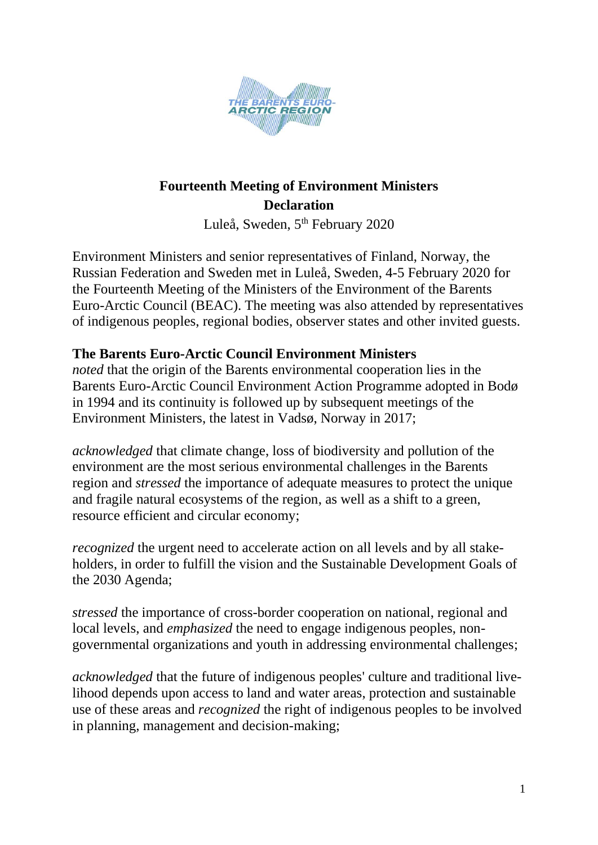

# **Fourteenth Meeting of Environment Ministers Declaration**

Luleå, Sweden, 5<sup>th</sup> February 2020

Environment Ministers and senior representatives of Finland, Norway, the Russian Federation and Sweden met in Luleå, Sweden, 4-5 February 2020 for the Fourteenth Meeting of the Ministers of the Environment of the Barents Euro-Arctic Council (BEAC). The meeting was also attended by representatives of indigenous peoples, regional bodies, observer states and other invited guests.

### **The Barents Euro-Arctic Council Environment Ministers**

*noted* that the origin of the Barents environmental cooperation lies in the Barents Euro-Arctic Council Environment Action Programme adopted in Bodø in 1994 and its continuity is followed up by subsequent meetings of the Environment Ministers, the latest in Vadsø, Norway in 2017;

*acknowledged* that climate change, loss of biodiversity and pollution of the environment are the most serious environmental challenges in the Barents region and *stressed* the importance of adequate measures to protect the unique and fragile natural ecosystems of the region, as well as a shift to a green, resource efficient and circular economy;

*recognized* the urgent need to accelerate action on all levels and by all stakeholders, in order to fulfill the vision and the Sustainable Development Goals of the 2030 Agenda;

*stressed* the importance of cross-border cooperation on national, regional and local levels, and *emphasized* the need to engage indigenous peoples, nongovernmental organizations and youth in addressing environmental challenges;

*acknowledged* that the future of indigenous peoples' culture and traditional livelihood depends upon access to land and water areas, protection and sustainable use of these areas and *recognized* the right of indigenous peoples to be involved in planning, management and decision-making;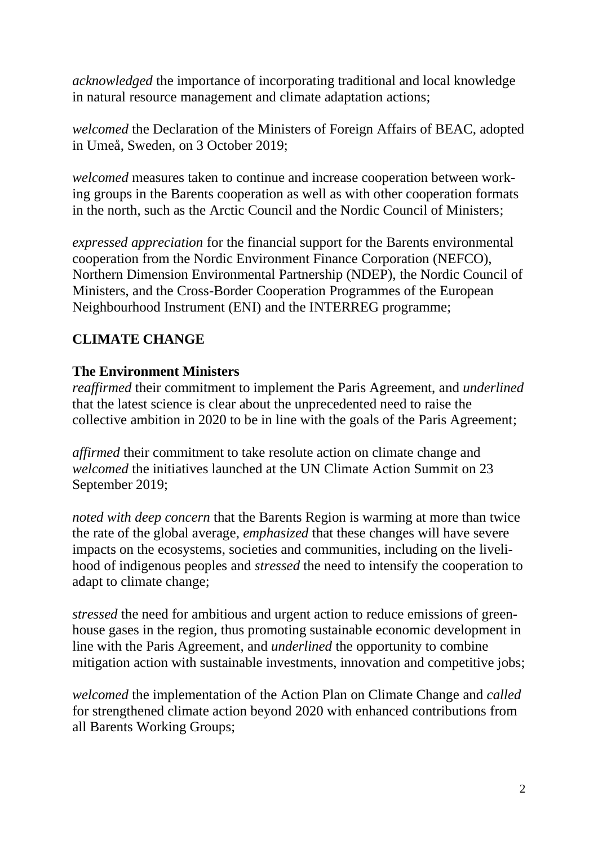*acknowledged* the importance of incorporating traditional and local knowledge in natural resource management and climate adaptation actions;

*welcomed* the Declaration of the Ministers of Foreign Affairs of BEAC, adopted in Umeå, Sweden, on 3 October 2019;

*welcomed* measures taken to continue and increase cooperation between working groups in the Barents cooperation as well as with other cooperation formats in the north, such as the Arctic Council and the Nordic Council of Ministers;

*expressed appreciation* for the financial support for the Barents environmental cooperation from the Nordic Environment Finance Corporation (NEFCO), Northern Dimension Environmental Partnership (NDEP), the Nordic Council of Ministers, and the Cross-Border Cooperation Programmes of the European Neighbourhood Instrument (ENI) and the INTERREG programme;

### **CLIMATE CHANGE**

#### **The Environment Ministers**

*reaffirmed* their commitment to implement the Paris Agreement, and *underlined* that the latest science is clear about the unprecedented need to raise the collective ambition in 2020 to be in line with the goals of the Paris Agreement;

*affirmed* their commitment to take resolute action on climate change and *welcomed* the initiatives launched at the UN Climate Action Summit on 23 September 2019;

*noted with deep concern* that the Barents Region is warming at more than twice the rate of the global average, *emphasized* that these changes will have severe impacts on the ecosystems, societies and communities, including on the livelihood of indigenous peoples and *stressed* the need to intensify the cooperation to adapt to climate change;

*stressed* the need for ambitious and urgent action to reduce emissions of greenhouse gases in the region, thus promoting sustainable economic development in line with the Paris Agreement, and *underlined* the opportunity to combine mitigation action with sustainable investments, innovation and competitive jobs;

*welcomed* the implementation of the Action Plan on Climate Change and *called*  for strengthened climate action beyond 2020 with enhanced contributions from all Barents Working Groups;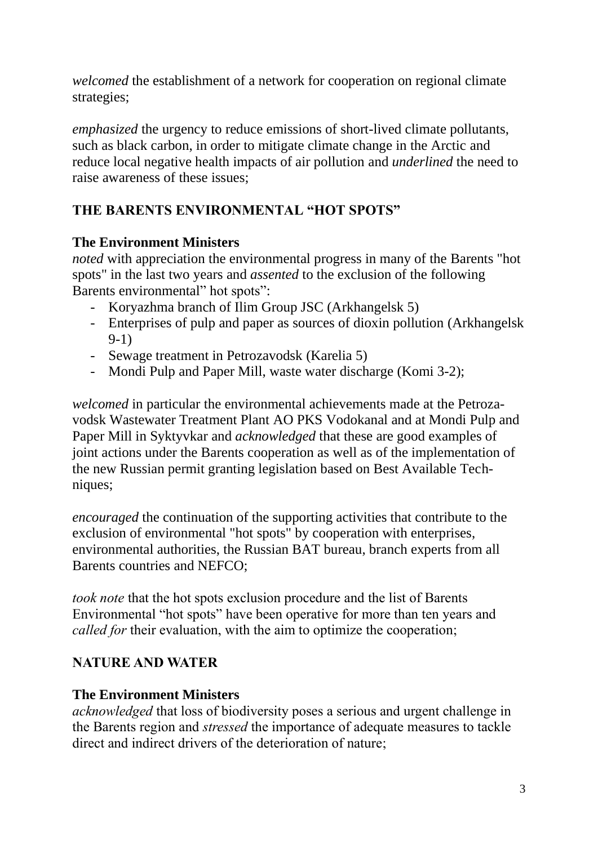*welcomed* the establishment of a network for cooperation on regional climate strategies;

*emphasized* the urgency to reduce emissions of short-lived climate pollutants, such as black carbon, in order to mitigate climate change in the Arctic and reduce local negative health impacts of air pollution and *underlined* the need to raise awareness of these issues;

## **THE BARENTS ENVIRONMENTAL "HOT SPOTS"**

#### **The Environment Ministers**

*noted* with appreciation the environmental progress in many of the Barents "hot spots" in the last two years and *assented* to the exclusion of the following Barents environmental" hot spots":

- Koryazhma branch of Ilim Group JSC (Arkhangelsk 5)
- Enterprises of pulp and paper as sources of dioxin pollution (Arkhangelsk 9-1)
- Sewage treatment in Petrozavodsk (Karelia 5)
- Mondi Pulp and Paper Mill, waste water discharge (Komi 3-2);

*welcomed* in particular the environmental achievements made at the Petrozavodsk Wastewater Treatment Plant AO PKS Vodokanal and at Mondi Pulp and Paper Mill in Syktyvkar and *acknowledged* that these are good examples of joint actions under the Barents cooperation as well as of the implementation of the new Russian permit granting legislation based on Best Available Techniques;

*encouraged* the continuation of the supporting activities that contribute to the exclusion of environmental "hot spots" by cooperation with enterprises, environmental authorities, the Russian BAT bureau, branch experts from all Barents countries and NEFCO;

*took note* that the hot spots exclusion procedure and the list of Barents Environmental "hot spots" have been operative for more than ten years and *called for* their evaluation, with the aim to optimize the cooperation;

### **NATURE AND WATER**

### **The Environment Ministers**

*acknowledged* that loss of biodiversity poses a serious and urgent challenge in the Barents region and *stressed* the importance of adequate measures to tackle direct and indirect drivers of the deterioration of nature;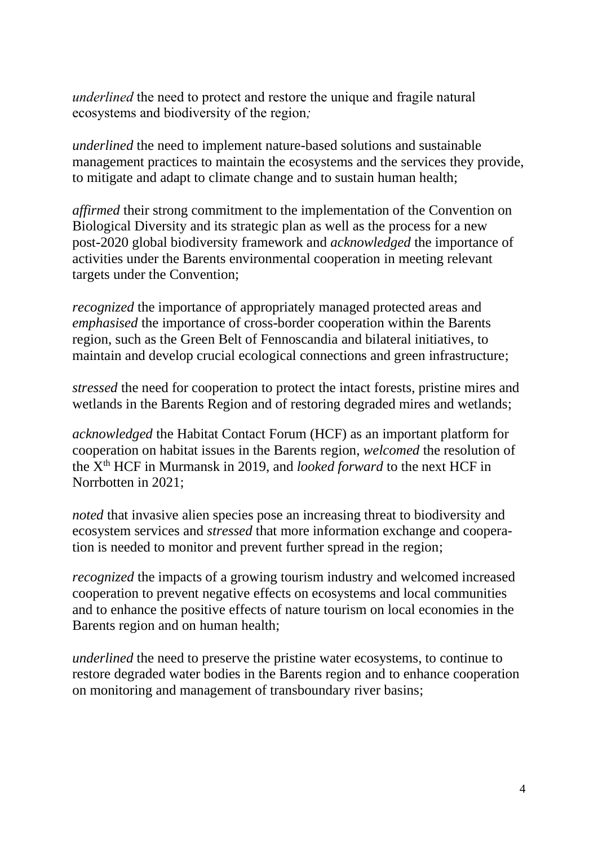*underlined* the need to protect and restore the unique and fragile natural ecosystems and biodiversity of the region*;* 

*underlined* the need to implement nature-based solutions and sustainable management practices to maintain the ecosystems and the services they provide, to mitigate and adapt to climate change and to sustain human health;

*affirmed* their strong commitment to the implementation of the Convention on Biological Diversity and its strategic plan as well as the process for a new post-2020 global biodiversity framework and *acknowledged* the importance of activities under the Barents environmental cooperation in meeting relevant targets under the Convention;

*recognized* the importance of appropriately managed protected areas and *emphasised* the importance of cross-border cooperation within the Barents region, such as the Green Belt of Fennoscandia and bilateral initiatives, to maintain and develop crucial ecological connections and green infrastructure;

*stressed* the need for cooperation to protect the intact forests, pristine mires and wetlands in the Barents Region and of restoring degraded mires and wetlands;

*acknowledged* the Habitat Contact Forum (HCF) as an important platform for cooperation on habitat issues in the Barents region, *welcomed* the resolution of the Xth HCF in Murmansk in 2019, and *looked forward* to the next HCF in Norrbotten in 2021;

*noted* that invasive alien species pose an increasing threat to biodiversity and ecosystem services and *stressed* that more information exchange and cooperation is needed to monitor and prevent further spread in the region;

*recognized* the impacts of a growing tourism industry and welcomed increased cooperation to prevent negative effects on ecosystems and local communities and to enhance the positive effects of nature tourism on local economies in the Barents region and on human health;

*underlined* the need to preserve the pristine water ecosystems, to continue to restore degraded water bodies in the Barents region and to enhance cooperation on monitoring and management of transboundary river basins;